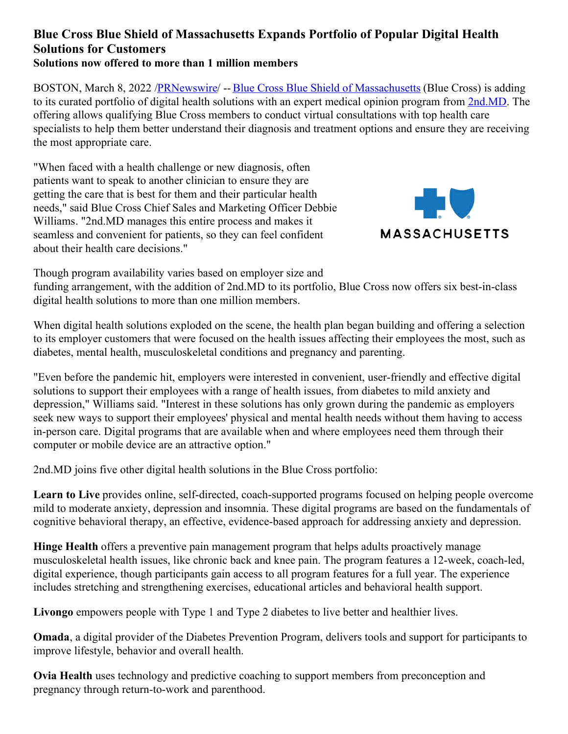## **Blue Cross Blue Shield of Massachusetts Expands Portfolio of Popular Digital Health Solutions for Customers Solutions now offered to more than 1 million members**

BOSTON, March 8, 2022 [/PRNewswire](http://www.prnewswire.com/)/ -- Blue Cross Blue Shield of [Massachusetts](https://c212.net/c/link/?t=0&l=en&o=3464906-1&h=1494920417&u=https%3A%2F%2Fc212.net%2Fc%2Flink%2F%3Ft%3D0%26l%3Den%26o%3D3344186-1%26h%3D2530830825%26u%3Dhttps%253A%252F%252Fc212.net%252Fc%252Flink%252F%253Ft%253D0%2526l%253Den%2526o%253D2975825-1%2526h%253D1950946595%2526u%253Dhttps%25253A%25252F%25252Fc212.net%25252Fc%25252Flink%25252F%25253Ft%25253D0%252526l%25253Den%252526o%25253D2637895-1%252526h%25253D4092538723%252526u%25253Dhttps%2525253A%2525252F%2525252Faboutus.bluecrossma.com%2525252F%252526a%25253DBlue%25252BCross%25252BBlue%25252BShield%25252Bof%25252BMassachusetts%2526a%253DBlue%252BCross%252BBlue%252BShield%252Bof%2525C2%2525A0Massachusetts%26a%3DBlue%2BCross%2BBlue%2BShield%2Bof%25C2%25A0Massachusetts&a=Blue+Cross+Blue+Shield+of%C2%A0Massachusetts) (Blue Cross) is adding to its curated portfolio of digital health solutions with an expert medical opinion program from [2nd.MD](https://c212.net/c/link/?t=0&l=en&o=3464906-1&h=1054690575&u=https%3A%2F%2Fc212.net%2Fc%2Flink%2F%3Ft%3D0%26l%3Den%26o%3D3344186-1%26h%3D1108153457%26u%3Dhttps%253A%252F%252Fwww.2nd.md%252F%26a%3D2nd.MD&a=2nd.MD). The offering allows qualifying Blue Cross members to conduct virtual consultations with top health care specialists to help them better understand their diagnosis and treatment options and ensure they are receiving the most appropriate care.

"When faced with a health challenge or new diagnosis, often patients want to speak to another clinician to ensure they are getting the care that is best for them and their particular health needs," said Blue Cross Chief Sales and Marketing Officer Debbie Williams. "2nd.MD manages this entire process and makes it seamless and convenient for patients, so they can feel confident about their health care decisions."



Though program availability varies based on employer size and

funding arrangement, with the addition of 2nd.MD to its portfolio, Blue Cross now offers six best-in-class digital health solutions to more than one million members.

When digital health solutions exploded on the scene, the health plan began building and offering a selection to its employer customers that were focused on the health issues affecting their employees the most, such as diabetes, mental health, musculoskeletal conditions and pregnancy and parenting.

"Even before the pandemic hit, employers were interested in convenient, user-friendly and effective digital solutions to support their employees with a range of health issues, from diabetes to mild anxiety and depression," Williams said. "Interest in these solutions has only grown during the pandemic as employers seek new ways to support their employees' physical and mental health needs without them having to access in-person care. Digital programs that are available when and where employees need them through their computer or mobile device are an attractive option."

2nd.MD joins five other digital health solutions in the Blue Cross portfolio:

**Learn to Live** provides online, self-directed, coach-supported programs focused on helping people overcome mild to moderate anxiety, depression and insomnia. These digital programs are based on the fundamentals of cognitive behavioral therapy, an effective, evidence-based approach for addressing anxiety and depression.

**Hinge Health** offers a preventive pain management program that helps adults proactively manage musculoskeletal health issues, like chronic back and knee pain. The program features a 12-week, coach-led, digital experience, though participants gain access to all program features for a full year. The experience includes stretching and strengthening exercises, educational articles and behavioral health support.

**Livongo** empowers people with Type 1 and Type 2 diabetes to live better and healthier lives.

**Omada**, a digital provider of the Diabetes Prevention Program, delivers tools and support for participants to improve lifestyle, behavior and overall health.

**Ovia Health** uses technology and predictive coaching to support members from preconception and pregnancy through return-to-work and parenthood.